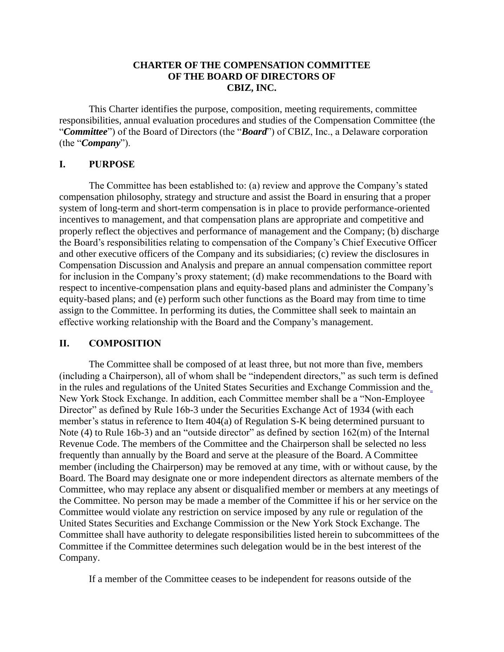### **CHARTER OF THE COMPENSATION COMMITTEE OF THE BOARD OF DIRECTORS OF CBIZ, INC.**

This Charter identifies the purpose, composition, meeting requirements, committee responsibilities, annual evaluation procedures and studies of the Compensation Committee (the "*Committee*") of the Board of Directors (the "*Board*") of CBIZ, Inc., a Delaware corporation (the "*Company*").

### **I. PURPOSE**

The Committee has been established to: (a) review and approve the Company's stated compensation philosophy, strategy and structure and assist the Board in ensuring that a proper system of long-term and short-term compensation is in place to provide performance-oriented incentives to management, and that compensation plans are appropriate and competitive and properly reflect the objectives and performance of management and the Company; (b) discharge the Board's responsibilities relating to compensation of the Company's Chief Executive Officer and other executive officers of the Company and its subsidiaries; (c) review the disclosures in Compensation Discussion and Analysis and prepare an annual compensation committee report for inclusion in the Company's proxy statement; (d) make recommendations to the Board with respect to incentive-compensation plans and equity-based plans and administer the Company's equity-based plans; and (e) perform such other functions as the Board may from time to time assign to the Committee. In performing its duties, the Committee shall seek to maintain an effective working relationship with the Board and the Company's management.

### **II. COMPOSITION**

The Committee shall be composed of at least three, but not more than five, members (including a Chairperson), all of whom shall be "independent directors," as such term is defined in the rules and regulations of the United States Securities and Exchange Commission and the New York Stock Exchange. In addition, each Committee member shall be a "Non-Employee Director" as defined by Rule 16b-3 under the Securities Exchange Act of 1934 (with each member's status in reference to Item 404(a) of Regulation S-K being determined pursuant to Note (4) to Rule 16b-3) and an "outside director" as defined by section 162(m) of the Internal Revenue Code. The members of the Committee and the Chairperson shall be selected no less frequently than annually by the Board and serve at the pleasure of the Board. A Committee member (including the Chairperson) may be removed at any time, with or without cause, by the Board. The Board may designate one or more independent directors as alternate members of the Committee, who may replace any absent or disqualified member or members at any meetings of the Committee. No person may be made a member of the Committee if his or her service on the Committee would violate any restriction on service imposed by any rule or regulation of the United States Securities and Exchange Commission or the New York Stock Exchange. The Committee shall have authority to delegate responsibilities listed herein to subcommittees of the Committee if the Committee determines such delegation would be in the best interest of the Company.

If a member of the Committee ceases to be independent for reasons outside of the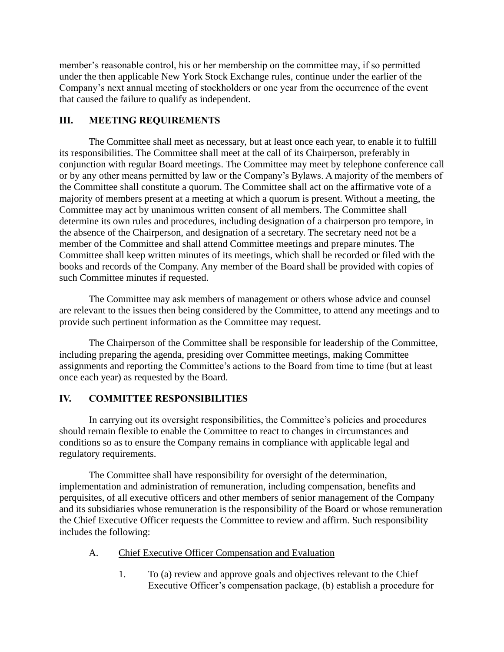member's reasonable control, his or her membership on the committee may, if so permitted under the then applicable New York Stock Exchange rules, continue under the earlier of the Company's next annual meeting of stockholders or one year from the occurrence of the event that caused the failure to qualify as independent.

### **III. MEETING REQUIREMENTS**

The Committee shall meet as necessary, but at least once each year, to enable it to fulfill its responsibilities. The Committee shall meet at the call of its Chairperson, preferably in conjunction with regular Board meetings. The Committee may meet by telephone conference call or by any other means permitted by law or the Company's Bylaws. A majority of the members of the Committee shall constitute a quorum. The Committee shall act on the affirmative vote of a majority of members present at a meeting at which a quorum is present. Without a meeting, the Committee may act by unanimous written consent of all members. The Committee shall determine its own rules and procedures, including designation of a chairperson pro tempore, in the absence of the Chairperson, and designation of a secretary. The secretary need not be a member of the Committee and shall attend Committee meetings and prepare minutes. The Committee shall keep written minutes of its meetings, which shall be recorded or filed with the books and records of the Company. Any member of the Board shall be provided with copies of such Committee minutes if requested.

The Committee may ask members of management or others whose advice and counsel are relevant to the issues then being considered by the Committee, to attend any meetings and to provide such pertinent information as the Committee may request.

The Chairperson of the Committee shall be responsible for leadership of the Committee, including preparing the agenda, presiding over Committee meetings, making Committee assignments and reporting the Committee's actions to the Board from time to time (but at least once each year) as requested by the Board.

# **IV. COMMITTEE RESPONSIBILITIES**

In carrying out its oversight responsibilities, the Committee's policies and procedures should remain flexible to enable the Committee to react to changes in circumstances and conditions so as to ensure the Company remains in compliance with applicable legal and regulatory requirements.

The Committee shall have responsibility for oversight of the determination, implementation and administration of remuneration, including compensation, benefits and perquisites, of all executive officers and other members of senior management of the Company and its subsidiaries whose remuneration is the responsibility of the Board or whose remuneration the Chief Executive Officer requests the Committee to review and affirm. Such responsibility includes the following:

# A. Chief Executive Officer Compensation and Evaluation

1. To (a) review and approve goals and objectives relevant to the Chief Executive Officer's compensation package, (b) establish a procedure for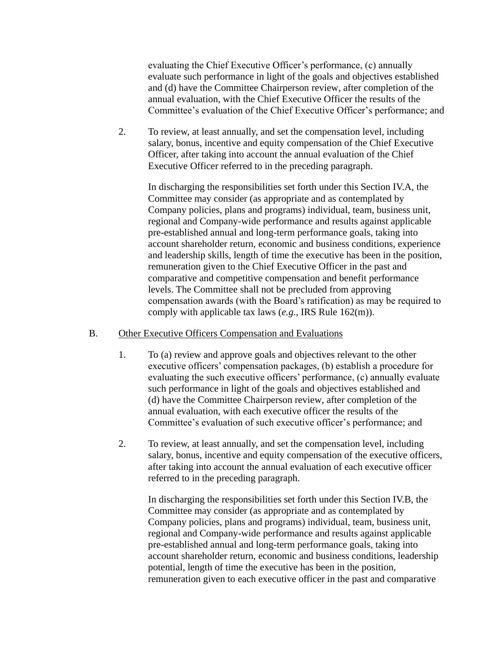evaluating the Chief Executive Officer's performance, (c) annually evaluate such performance in light of the goals and objectives established and (d) have the Committee Chairperson review, after completion of the annual evaluation, with the Chief Executive Officer the results of the Committee's evaluation of the Chief Executive Officer's performance; and

2. To review, at least annually, and set the compensation level, including salary, bonus, incentive and equity compensation of the Chief Executive Officer, after taking into account the annual evaluation of the Chief Executive Officer referred to in the preceding paragraph.

In discharging the responsibilities set forth under this Section IV.A, the Committee may consider (as appropriate and as contemplated by Company policies, plans and programs) individual, team, business unit, regional and Company-wide performance and results against applicable pre-established annual and long-term performance goals, taking into account shareholder return, economic and business conditions, experience and leadership skills, length of time the executive has been in the position, remuneration given to the Chief Executive Officer in the past and comparative and competitive compensation and benefit performance levels. The Committee shall not be precluded from approving compensation awards (with the Board's ratification) as may be required to comply with applicable tax laws (*e.g*., IRS Rule 162(m)).

#### B. Other Executive Officers Compensation and Evaluations

- 1. To (a) review and approve goals and objectives relevant to the other executive officers' compensation packages, (b) establish a procedure for evaluating the such executive officers' performance, (c) annually evaluate such performance in light of the goals and objectives established and (d) have the Committee Chairperson review, after completion of the annual evaluation, with each executive officer the results of the Committee's evaluation of such executive officer's performance; and
- 2. To review, at least annually, and set the compensation level, including salary, bonus, incentive and equity compensation of the executive officers, after taking into account the annual evaluation of each executive officer referred to in the preceding paragraph.

In discharging the responsibilities set forth under this Section IV.B, the Committee may consider (as appropriate and as contemplated by Company policies, plans and programs) individual, team, business unit, regional and Company-wide performance and results against applicable pre-established annual and long-term performance goals, taking into account shareholder return, economic and business conditions, leadership potential, length of time the executive has been in the position, remuneration given to each executive officer in the past and comparative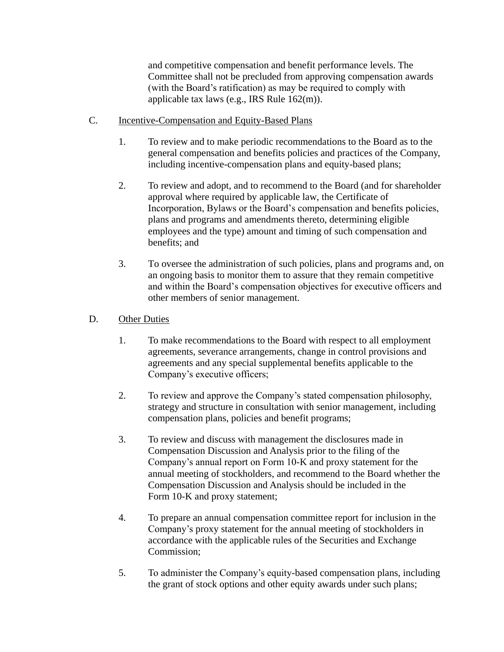and competitive compensation and benefit performance levels. The Committee shall not be precluded from approving compensation awards (with the Board's ratification) as may be required to comply with applicable tax laws (e.g., IRS Rule 162(m)).

- C. Incentive-Compensation and Equity-Based Plans
	- 1. To review and to make periodic recommendations to the Board as to the general compensation and benefits policies and practices of the Company, including incentive-compensation plans and equity-based plans;
	- 2. To review and adopt, and to recommend to the Board (and for shareholder approval where required by applicable law, the Certificate of Incorporation, Bylaws or the Board's compensation and benefits policies, plans and programs and amendments thereto, determining eligible employees and the type) amount and timing of such compensation and benefits; and
	- 3. To oversee the administration of such policies, plans and programs and, on an ongoing basis to monitor them to assure that they remain competitive and within the Board's compensation objectives for executive officers and other members of senior management.
- D. Other Duties
	- 1. To make recommendations to the Board with respect to all employment agreements, severance arrangements, change in control provisions and agreements and any special supplemental benefits applicable to the Company's executive officers;
	- 2. To review and approve the Company's stated compensation philosophy, strategy and structure in consultation with senior management, including compensation plans, policies and benefit programs;
	- 3. To review and discuss with management the disclosures made in Compensation Discussion and Analysis prior to the filing of the Company's annual report on Form 10-K and proxy statement for the annual meeting of stockholders, and recommend to the Board whether the Compensation Discussion and Analysis should be included in the Form 10-K and proxy statement;
	- 4. To prepare an annual compensation committee report for inclusion in the Company's proxy statement for the annual meeting of stockholders in accordance with the applicable rules of the Securities and Exchange Commission;
	- 5. To administer the Company's equity-based compensation plans, including the grant of stock options and other equity awards under such plans;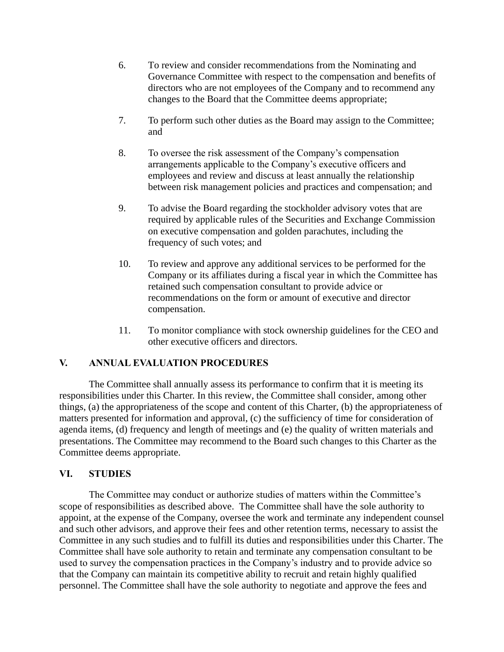- 6. To review and consider recommendations from the Nominating and Governance Committee with respect to the compensation and benefits of directors who are not employees of the Company and to recommend any changes to the Board that the Committee deems appropriate;
- 7. To perform such other duties as the Board may assign to the Committee; and
- 8. To oversee the risk assessment of the Company's compensation arrangements applicable to the Company's executive officers and employees and review and discuss at least annually the relationship between risk management policies and practices and compensation; and
- 9. To advise the Board regarding the stockholder advisory votes that are required by applicable rules of the Securities and Exchange Commission on executive compensation and golden parachutes, including the frequency of such votes; and
- 10. To review and approve any additional services to be performed for the Company or its affiliates during a fiscal year in which the Committee has retained such compensation consultant to provide advice or recommendations on the form or amount of executive and director compensation.
- 11. To monitor compliance with stock ownership guidelines for the CEO and other executive officers and directors.

# **V. ANNUAL EVALUATION PROCEDURES**

The Committee shall annually assess its performance to confirm that it is meeting its responsibilities under this Charter. In this review, the Committee shall consider, among other things, (a) the appropriateness of the scope and content of this Charter, (b) the appropriateness of matters presented for information and approval, (c) the sufficiency of time for consideration of agenda items, (d) frequency and length of meetings and (e) the quality of written materials and presentations. The Committee may recommend to the Board such changes to this Charter as the Committee deems appropriate.

# **VI. STUDIES**

The Committee may conduct or authorize studies of matters within the Committee's scope of responsibilities as described above. The Committee shall have the sole authority to appoint, at the expense of the Company, oversee the work and terminate any independent counsel and such other advisors, and approve their fees and other retention terms, necessary to assist the Committee in any such studies and to fulfill its duties and responsibilities under this Charter. The Committee shall have sole authority to retain and terminate any compensation consultant to be used to survey the compensation practices in the Company's industry and to provide advice so that the Company can maintain its competitive ability to recruit and retain highly qualified personnel. The Committee shall have the sole authority to negotiate and approve the fees and